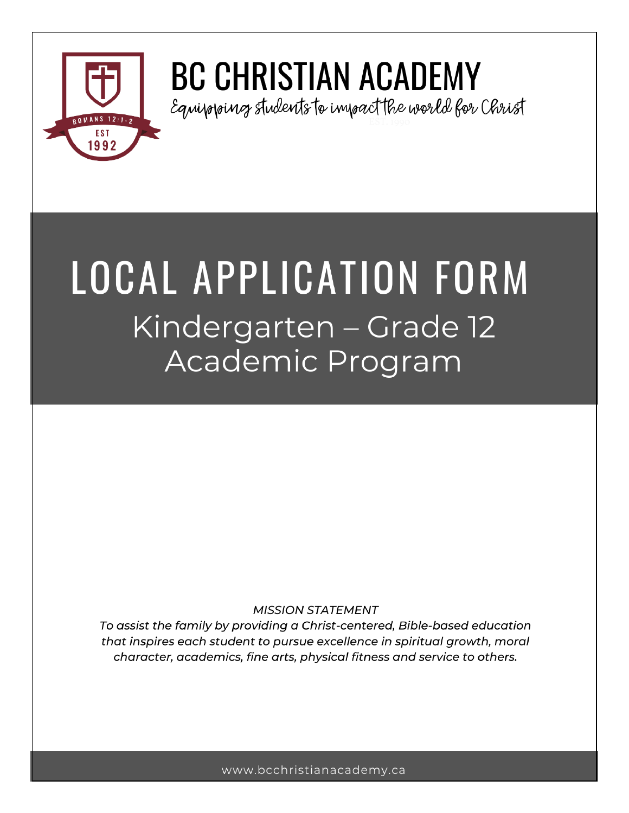

# **BC CHRISTIAN ACADEMY**

Equivoroing students to inwoact the world for Christ

# **LOCAL APPLICATION FORM** Kindergarten – Grade 12 Academic Program

## **MISSION STATEMENT**

To assist the family by providing a Christ-centered, Bible-based education that inspires each student to pursue excellence in spiritual growth, moral character, academics, fine arts, physical fitness and service to others.

www.bcchristianacademy.ca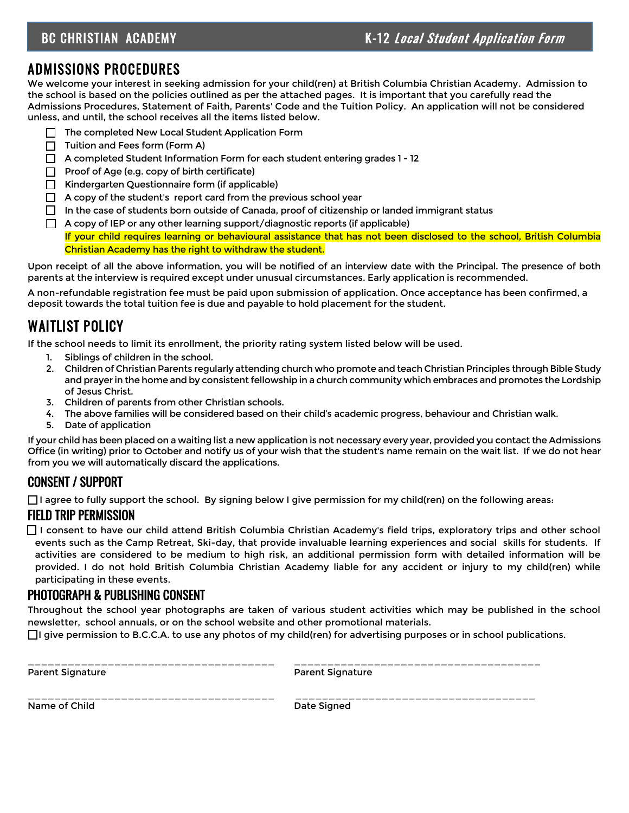# BC CHRISTIAN ACADEMY **K-12** Local Student Application Form

# ADMISSIONS PROCEDURES

We welcome your interest in seeking admission for your child(ren) at British Columbia Christian Academy. Admission to the school is based on the policies outlined as per the attached pages. It is important that you carefully read the Admissions Procedures, Statement of Faith, Parents' Code and the Tuition Policy. An application will not be considered unless, and until, the school receives all the items listed below.

- ❑ The completed New Local Student Application Form
- ❑ Tuition and Fees form (Form A)
- ❑ A completed Student Information Form for each student entering grades 1 12
- ❑ Proof of Age (e.g. copy of birth certificate)
- ❑ Kindergarten Questionnaire form (if applicable)
- □ A copy of the student's report card from the previous school year
- $\Box$  In the case of students born outside of Canada, proof of citizenship or landed immigrant status
- $\Box$  A copy of IEP or any other learning support/diagnostic reports (if applicable) If your child requires learning or behavioural assistance that has not been disclosed to the school, British Columbia

Christian Academy has the right to withdraw the student.

Upon receipt of all the above information, you will be notified of an interview date with the Principal. The presence of both parents at the interview is required except under unusual circumstances. Early application is recommended.

A non-refundable registration fee must be paid upon submission of application. Once acceptance has been confirmed, a deposit towards the total tuition fee is due and payable to hold placement for the student.

# WAITLIST POLICY

If the school needs to limit its enrollment, the priority rating system listed below will be used.

- 1. Siblings of children in the school.
- 2. Children of Christian Parents regularly attending church who promote and teach Christian Principles through Bible Study and prayer in the home and by consistent fellowship in a church community which embraces and promotes the Lordship of Jesus Christ.
- 3. Children of parents from other Christian schools.
- 4. The above families will be considered based on their child's academic progress, behaviour and Christian walk.
- 5. Date of application

If your child has been placed on a waiting list a new application is not necessary every year, provided you contact the Admissions Office (in writing) prior to October and notify us of your wish that the student's name remain on the wait list. If we do not hear from you we will automatically discard the applications.

## CONSENT / SUPPORT

 $\Box$  agree to fully support the school. By signing below I give permission for my child(ren) on the following areas:

## FIELD TRIP PERMISSION

□ I consent to have our child attend British Columbia Christian Academy's field trips, exploratory trips and other school events such as the Camp Retreat, Ski-day, that provide invaluable learning experiences and social skills for students. If activities are considered to be medium to high risk, an additional permission form with detailed information will be provided. I do not hold British Columbia Christian Academy liable for any accident or injury to my child(ren) while participating in these events.

#### PHOTOGRAPH & PUBLISHING CONSENT

Throughout the school year photographs are taken of various student activities which may be published in the school newsletter, school annuals, or on the school website and other promotional materials.

 $\Box$ I give permission to B.C.C.A. to use any photos of my child(ren) for advertising purposes or in school publications.

Parent Signature **Parent Signature** Parent Signature

\_\_\_\_\_\_\_\_\_\_\_\_\_\_\_\_\_\_\_\_\_\_\_\_\_\_\_\_\_\_\_\_\_\_\_\_\_ \_\_\_\_\_\_\_\_\_\_\_\_\_\_\_\_\_\_\_\_\_\_\_\_\_\_\_\_\_\_\_\_\_\_\_\_\_

\_\_\_\_\_\_\_\_\_\_\_\_\_\_\_\_\_\_\_\_\_\_\_\_\_\_\_\_\_\_\_\_\_\_\_\_\_ \_\_\_\_\_\_\_\_\_\_\_\_\_\_\_\_\_\_\_\_\_\_\_\_\_\_\_\_\_\_\_\_\_\_\_\_ Name of Child Date Signed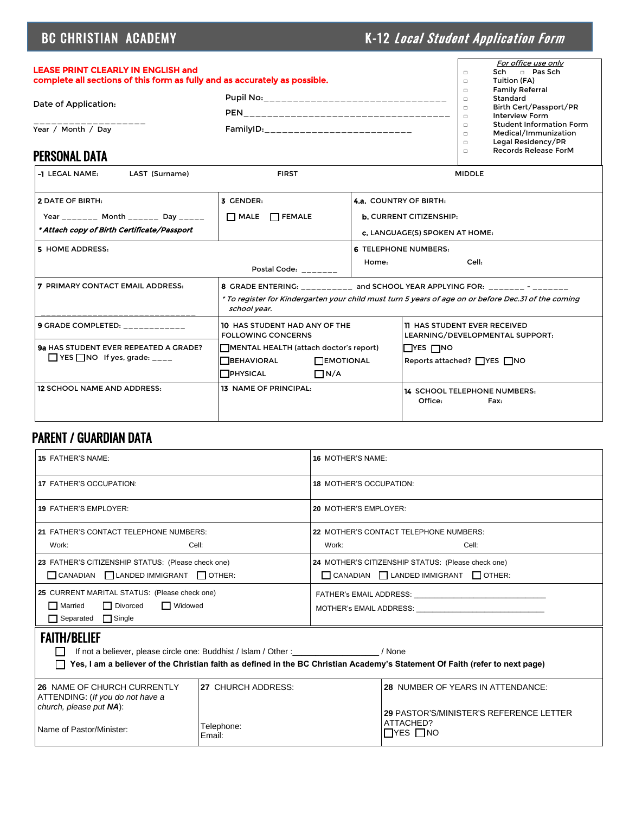# BC CHRISTIAN ACADEMY **K-12** Local Student Application Form

| <b>LEASE PRINT CLEARLY IN ENGLISH and</b><br>complete all sections of this form as fully and as accurately as possible. |                                                         | $\Box$                     | For office use only<br>$\Box$ Pas Sch<br>Sch-<br>Tuition (FA)                 |  |
|-------------------------------------------------------------------------------------------------------------------------|---------------------------------------------------------|----------------------------|-------------------------------------------------------------------------------|--|
|                                                                                                                         |                                                         | $\Box$<br>$\Box$           | <b>Family Referral</b><br>Standard                                            |  |
| Date of Application:                                                                                                    | <b>PEN</b>                                              | $\Box$                     | Birth Cert/Passport/PR<br><b>Interview Form</b>                               |  |
| Year / Month / Dav                                                                                                      | FamilyID:<br><u> 1919 - Jan Jan Jan Jan Jan Jan Jan</u> | $\Box$<br>$\Box$<br>$\Box$ | <b>Student Information Form</b><br>Medical/Immunization<br>Legal Residency/PR |  |
| <b>PERSONAL DATA</b>                                                                                                    |                                                         | $\Box$                     | Records Release ForM                                                          |  |

### PERSONAL DATA

| LAST (Surname)<br>-1 LEGAL NAME:                                                                              | <b>FIRST</b>                                                                                                                                                                                        | <b>MIDDLE</b>                                                                                     |                                                                        |  |
|---------------------------------------------------------------------------------------------------------------|-----------------------------------------------------------------------------------------------------------------------------------------------------------------------------------------------------|---------------------------------------------------------------------------------------------------|------------------------------------------------------------------------|--|
| <b>2 DATE OF BIRTH:</b><br>Year _______ Month ______ Day _____<br>* Attach copy of Birth Certificate/Passport | 3 GENDER:<br>$\Box$ MALE $\Box$ FEMALE                                                                                                                                                              | <b>4.a.</b> COUNTRY OF BIRTH:<br><b>b.</b> CURRENT CITIZENSHIP:<br>c. LANGUAGE(S) SPOKEN AT HOME: |                                                                        |  |
| 5 HOME ADDRESS:                                                                                               | Postal Code: _______                                                                                                                                                                                | <b>6 TELEPHONE NUMBERS:</b><br>Cell:<br>Home:                                                     |                                                                        |  |
| <b>7 PRIMARY CONTACT EMAIL ADDRESS:</b>                                                                       | 8 GRADE ENTERING: _________ and SCHOOL YEAR APPLYING FOR: _______ - _______<br>* To register for Kindergarten your child must turn 5 years of age on or before Dec.31 of the coming<br>school year. |                                                                                                   |                                                                        |  |
| <b>9 GRADE COMPLETED:</b> __________                                                                          | 10 HAS STUDENT HAD ANY OF THE<br><b>FOLLOWING CONCERNS</b>                                                                                                                                          |                                                                                                   | <b>11 HAS STUDENT EVER RECEIVED</b><br>LEARNING/DEVELOPMENTAL SUPPORT: |  |
| 9a HAS STUDENT EVER REPEATED A GRADE?<br>$\Box$ YES $\Box$ NO If yes, grade: ____                             | MENTAL HEALTH (attach doctor's report)<br><b>TBEHAVIORAL</b><br><b>TEMOTIONAL</b><br><b>PHYSICAL</b><br>$\Box N/A$                                                                                  |                                                                                                   | $\square$ YES $\square$ NO<br>Reports attached? $\Box$ YES $\Box$ NO   |  |
| <b>12 SCHOOL NAME AND ADDRESS:</b>                                                                            | <b>13 NAME OF PRINCIPAL:</b>                                                                                                                                                                        |                                                                                                   | <b>14 SCHOOL TELEPHONE NUMBERS:</b><br>Office:<br>Fax:                 |  |

# PARENT / GUARDIAN DATA

| <b>15 FATHER'S NAME:</b>                                                                                                     |                      | <b>16 MOTHER'S NAME:</b>                                                                                                                                                                                                       |                                                       |  |  |
|------------------------------------------------------------------------------------------------------------------------------|----------------------|--------------------------------------------------------------------------------------------------------------------------------------------------------------------------------------------------------------------------------|-------------------------------------------------------|--|--|
| 17 FATHER'S OCCUPATION:                                                                                                      |                      | <b>18 MOTHER'S OCCUPATION:</b>                                                                                                                                                                                                 |                                                       |  |  |
| <b>19 FATHER'S EMPLOYER:</b>                                                                                                 |                      | 20 MOTHER'S EMPLOYER:                                                                                                                                                                                                          |                                                       |  |  |
| 21 FATHER'S CONTACT TELEPHONE NUMBERS:                                                                                       |                      |                                                                                                                                                                                                                                | 22 MOTHER'S CONTACT TELEPHONE NUMBERS:                |  |  |
| Work:<br>Cell:                                                                                                               |                      | Work:                                                                                                                                                                                                                          | Cell:                                                 |  |  |
| 23 FATHER'S CITIZENSHIP STATUS: (Please check one)                                                                           |                      |                                                                                                                                                                                                                                | 24 MOTHER'S CITIZENSHIP STATUS: (Please check one)    |  |  |
| CANADIAN   LANDED IMMIGRANT   OTHER:                                                                                         |                      |                                                                                                                                                                                                                                | $\Box$ CANADIAN $\Box$ LANDED IMMIGRANT $\Box$ OTHER: |  |  |
| 25 CURRENT MARITAL STATUS: (Please check one)                                                                                |                      | FATHER's EMAIL ADDRESS: The contract of the contract of the contract of the contract of the contract of the contract of the contract of the contract of the contract of the contract of the contract of the contract of the co |                                                       |  |  |
| $\Box$ Married<br>$\Box$ Divorced<br><b>Nidowed</b>                                                                          |                      | MOTHER's EMAIL ADDRESS: WAS ARRESTED FOR A STRING AND THE STRING OF THE STRING OF THE STRING OF THE STRING OF THE STRING OF THE STRING OF THE STRING OF THE STRING OF THE STRING OF THE STRING OF THE STRING OF THE STRING OF  |                                                       |  |  |
| $\Box$ Separated $\Box$ Single                                                                                               |                      |                                                                                                                                                                                                                                |                                                       |  |  |
| <b>FAITH/BELIEF</b>                                                                                                          |                      |                                                                                                                                                                                                                                |                                                       |  |  |
| If not a believer, please circle one: Buddhist / Islam / Other : __________________/ None                                    |                      |                                                                                                                                                                                                                                |                                                       |  |  |
| Yes, I am a believer of the Christian faith as defined in the BC Christian Academy's Statement Of Faith (refer to next page) |                      |                                                                                                                                                                                                                                |                                                       |  |  |
| 26 NAME OF CHURCH CURRENTLY                                                                                                  | 27 CHURCH ADDRESS:   |                                                                                                                                                                                                                                | <b>28 NUMBER OF YEARS IN ATTENDANCE:</b>              |  |  |
| ATTENDING: (If you do not have a<br>church, please put NA):                                                                  |                      |                                                                                                                                                                                                                                |                                                       |  |  |
|                                                                                                                              |                      | 29 PASTOR'S/MINISTER'S REFERENCE LETTER<br>ATTACHED?                                                                                                                                                                           |                                                       |  |  |
| Name of Pastor/Minister:                                                                                                     | Telephone:<br>Email: | $\Box$ YES $\Box$ NO                                                                                                                                                                                                           |                                                       |  |  |
|                                                                                                                              |                      |                                                                                                                                                                                                                                |                                                       |  |  |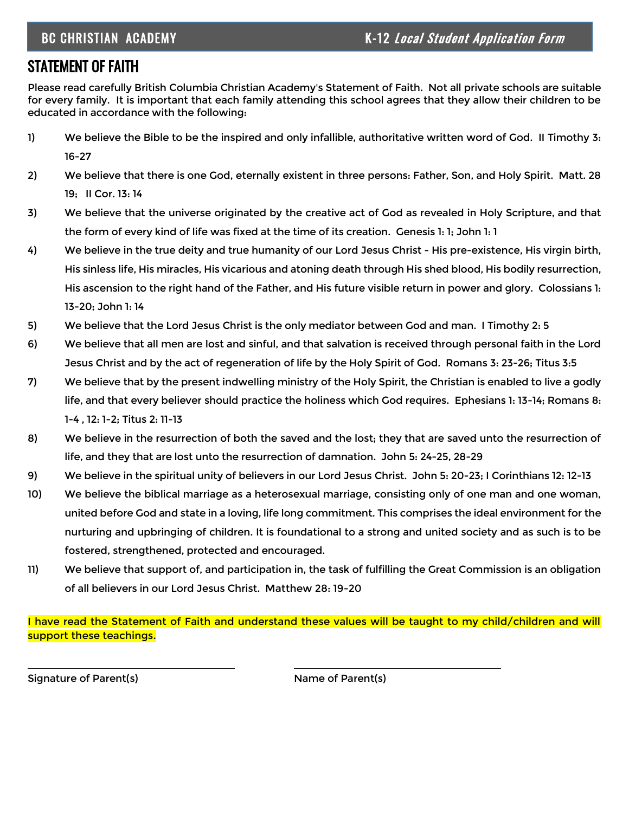# STATEMENT OF FAITH

Please read carefully British Columbia Christian Academy's Statement of Faith. Not all private schools are suitable for every family. It is important that each family attending this school agrees that they allow their children to be educated in accordance with the following:

- 1) We believe the Bible to be the inspired and only infallible, authoritative written word of God. II Timothy 3: 16-27
- 2) We believe that there is one God, eternally existent in three persons: Father, Son, and Holy Spirit. Matt. 28 19; II Cor. 13: 14
- 3) We believe that the universe originated by the creative act of God as revealed in Holy Scripture, and that the form of every kind of life was fixed at the time of its creation. Genesis 1: 1; John 1: 1
- 4) We believe in the true deity and true humanity of our Lord Jesus Christ His pre-existence, His virgin birth, His sinless life, His miracles, His vicarious and atoning death through His shed blood, His bodily resurrection, His ascension to the right hand of the Father, and His future visible return in power and glory. Colossians 1: 13-20; John 1: 14
- 5) We believe that the Lord Jesus Christ is the only mediator between God and man. I Timothy 2: 5
- 6) We believe that all men are lost and sinful, and that salvation is received through personal faith in the Lord Jesus Christ and by the act of regeneration of life by the Holy Spirit of God. Romans 3: 23-26; Titus 3:5
- 7) We believe that by the present indwelling ministry of the Holy Spirit, the Christian is enabled to live a godly life, and that every believer should practice the holiness which God requires. Ephesians 1: 13-14; Romans 8: 1-4 , 12: 1-2; Titus 2: 11-13
- 8) We believe in the resurrection of both the saved and the lost; they that are saved unto the resurrection of life, and they that are lost unto the resurrection of damnation. John 5: 24-25, 28-29
- 9) We believe in the spiritual unity of believers in our Lord Jesus Christ. John 5: 20-23; I Corinthians 12: 12-13
- 10) We believe the biblical marriage as a heterosexual marriage, consisting only of one man and one woman, united before God and state in a loving, life long commitment. This comprises the ideal environment for the nurturing and upbringing of children. It is foundational to a strong and united society and as such is to be fostered, strengthened, protected and encouraged.
- 11) We believe that support of, and participation in, the task of fulfilling the Great Commission is an obligation of all believers in our Lord Jesus Christ. Matthew 28: 19-20

I have read the Statement of Faith and understand these values will be taught to my child/children and will support these teachings.

Signature of Parent(s) Name of Parent(s)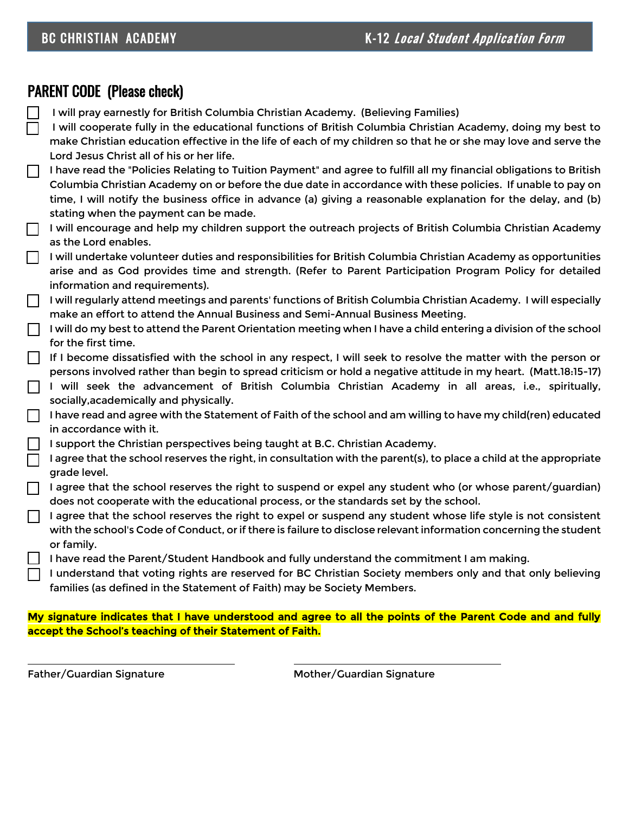# PARENT CODE (Please check)

- ❑ I will pray earnestly for British Columbia Christian Academy. (Believing Families)
- ❑ I will cooperate fully in the educational functions of British Columbia Christian Academy, doing my best to make Christian education effective in the life of each of my children so that he or she may love and serve the Lord Jesus Christ all of his or her life.
- ❑ I have read the "Policies Relating to Tuition Payment" and agree to fulfill all my financial obligations to British Columbia Christian Academy on or before the due date in accordance with these policies. If unable to pay on time, I will notify the business office in advance (a) giving a reasonable explanation for the delay, and (b) stating when the payment can be made.
- $\Box$  I will encourage and help my children support the outreach projects of British Columbia Christian Academy as the Lord enables.
- $\Box$  I will undertake volunteer duties and responsibilities for British Columbia Christian Academy as opportunities arise and as God provides time and strength. (Refer to Parent Participation Program Policy for detailed information and requirements).
- $\Box$  I will regularly attend meetings and parents' functions of British Columbia Christian Academy. I will especially make an effort to attend the Annual Business and Semi-Annual Business Meeting.
- $\Box$  I will do my best to attend the Parent Orientation meeting when I have a child entering a division of the school for the first time.
- ❑ If I become dissatisfied with the school in any respect, I will seek to resolve the matter with the person or persons involved rather than begin to spread criticism or hold a negative attitude in my heart. (Matt.18:15-17)
- $\Box$  I will seek the advancement of British Columbia Christian Academy in all areas, i.e., spiritually, socially,academically and physically.
- ❑ I have read and agree with the Statement of Faith of the school and am willing to have my child(ren) educated in accordance with it.
- $\vert\ \vert$  I support the Christian perspectives being taught at B.C. Christian Academy.
- I agree that the school reserves the right, in consultation with the parent(s), to place a child at the appropriate grade level.
- $\Box$  I agree that the school reserves the right to suspend or expel any student who (or whose parent/guardian) does not cooperate with the educational process, or the standards set by the school.
- $\Box$  I agree that the school reserves the right to expel or suspend any student whose life style is not consistent with the school's Code of Conduct, or if there is failure to disclose relevant information concerning the student or family.
	- ❑ I have read the Parent/Student Handbook and fully understand the commitment I am making.
	- ❑ I understand that voting rights are reserved for BC Christian Society members only and that only believing families (as defined in the Statement of Faith) may be Society Members.

#### My signature indicates that I have understood and agree to all the points of the Parent Code and and fully accept the School's teaching of their Statement of Faith.

Father/Guardian Signature **Mother/Guardian Signature** Mother/Guardian Signature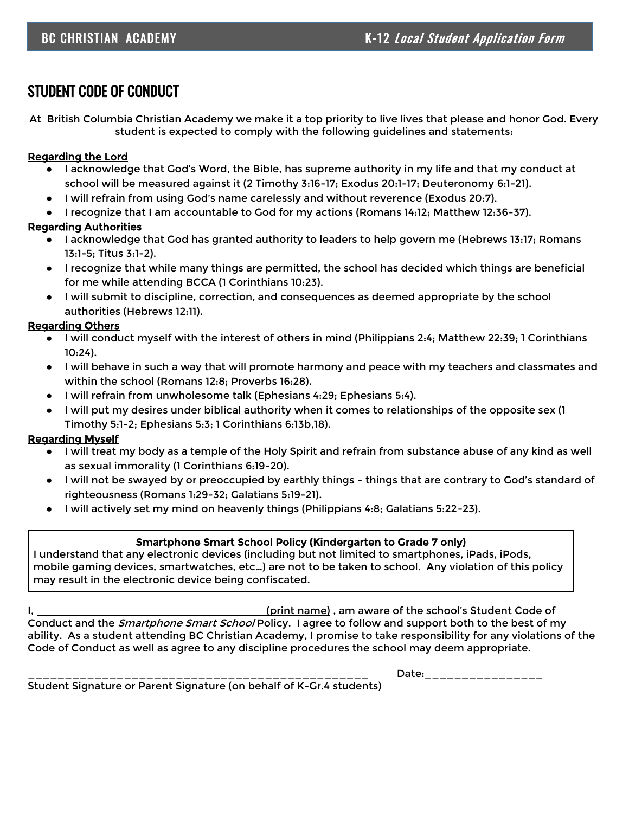# STUDENT CODE OF CONDUCT

At British Columbia Christian Academy we make it a top priority to live lives that please and honor God. Every student is expected to comply with the following guidelines and statements:

#### Regarding the Lord

- I acknowledge that God's Word, the Bible, has supreme authority in my life and that my conduct at school will be measured against it (2 Timothy 3:16-17; Exodus 20:1-17; Deuteronomy 6:1-21).
- I will refrain from using God's name carelessly and without reverence (Exodus 20:7).
- I recognize that I am accountable to God for my actions (Romans 14:12; Matthew 12:36-37).

#### Regarding Authorities

- I acknowledge that God has granted authority to leaders to help govern me (Hebrews 13:17; Romans 13:1-5; Titus 3:1-2).
- I recognize that while many things are permitted, the school has decided which things are beneficial for me while attending BCCA (1 Corinthians 10:23).
- I will submit to discipline, correction, and consequences as deemed appropriate by the school authorities (Hebrews 12:11).

#### Regarding Others

- I will conduct myself with the interest of others in mind (Philippians 2:4; Matthew 22:39; 1 Corinthians 10:24).
- I will behave in such a way that will promote harmony and peace with my teachers and classmates and within the school (Romans 12:8; Proverbs 16:28).
- I will refrain from unwholesome talk (Ephesians 4:29; Ephesians 5:4).
- I will put my desires under biblical authority when it comes to relationships of the opposite sex (1 Timothy 5:1-2; Ephesians 5:3; 1 Corinthians 6:13b,18).

#### Regarding Myself

- I will treat my body as a temple of the Holy Spirit and refrain from substance abuse of any kind as well as sexual immorality (1 Corinthians 6:19-20).
- I will not be swayed by or preoccupied by earthly things things that are contrary to God's standard of righteousness (Romans 1:29-32; Galatians 5:19-21).
- I will actively set my mind on heavenly things (Philippians 4:8; Galatians 5:22-23).

#### Smartphone Smart School Policy (Kindergarten to Grade 7 only)

I understand that any electronic devices (including but not limited to smartphones, iPads, iPods, mobile gaming devices, smartwatches, etc…) are not to be taken to school. Any violation of this policy may result in the electronic device being confiscated.

I, **I** and the school's Student Code of  $\alpha$  (print name) , am aware of the school's Student Code of Conduct and the *Smartphone Smart School* Policy. I agree to follow and support both to the best of my ability. As a student attending BC Christian Academy, I promise to take responsibility for any violations of the Code of Conduct as well as agree to any discipline procedures the school may deem appropriate.

 $Date:$   $\hbox{\quad}$ 

Student Signature or Parent Signature (on behalf of K-Gr.4 students)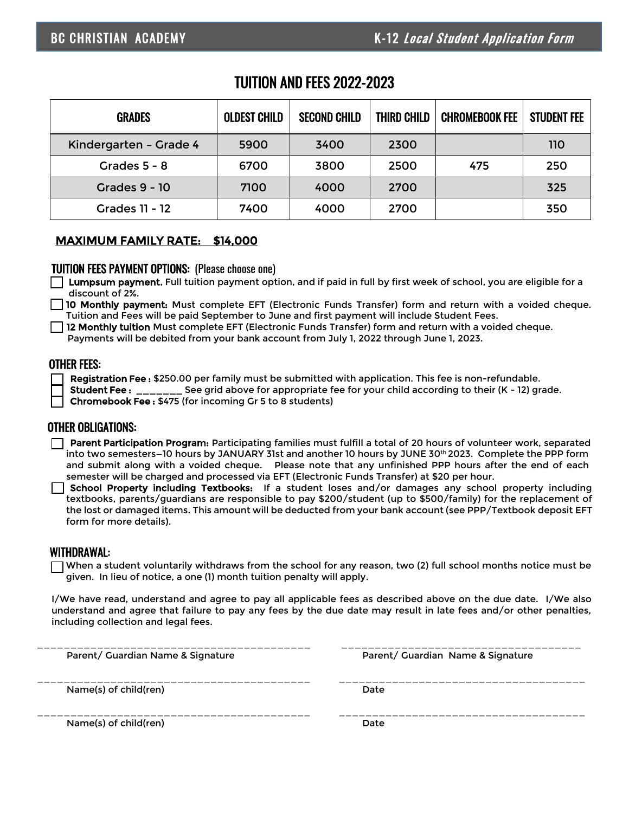## TUITION AND FEES 2022-2023

| <b>GRADES</b>          | <b>OLDEST CHILD</b> | <b>SECOND CHILD</b> | THIRD CHILD | <b>CHROMEBOOK FEE</b> | <b>STUDENT FEE</b> |
|------------------------|---------------------|---------------------|-------------|-----------------------|--------------------|
| Kindergarten - Grade 4 | 5900                | 3400                | 2300        |                       | 110                |
| Grades $5 - 8$         | 6700                | 3800                | 2500        | 475                   | 250                |
| <b>Grades 9 - 10</b>   | 7100                | 4000                | 2700        |                       | 325                |
| <b>Grades 11 - 12</b>  | 7400                | 4000                | 2700        |                       | 350                |

#### MAXIMUM FAMILY RATE: \$14,000

#### TUITION FEES PAYMENT OPTIONS: (Please choose one)

❑ Lumpsum payment, Full tuition payment option, and if paid in full by first week of school, you are eligible for a discount of 2%.

10 Monthly payment: Must complete EFT (Electronic Funds Transfer) form and return with a voided cheque. Tuition and Fees will be paid September to June and first payment will include Student Fees.

 $\Box$  12 Monthly tuition Must complete EFT (Electronic Funds Transfer) form and return with a voided cheque.

Payments will be debited from your bank account from July 1, 2022 through June 1, 2023.

#### OTHER FEES:

Registration Fee : \$250.00 per family must be submitted with application. This fee is non-refundable.

Student Fee : \_\_\_\_\_\_\_ See grid above for appropriate fee for your child according to their (K - 12) grade.

❑ Chromebook Fee : \$475 (for incoming Gr 5 to 8 students)

#### OTHER OBLIGATIONS:

□ Parent Participation Program: Participating families must fulfill a total of 20 hours of volunteer work, separated into two semesters–10 hours by JANUARY 31st and another 10 hours by JUNE 30th 2023. Complete the PPP form and submit along with a voided cheque. Please note that any unfinished PPP hours after the end of each semester will be charged and processed via EFT (Electronic Funds Transfer) at \$20 per hour.

❑ School Property including Textbooks: If a student loses and/or damages any school property including textbooks, parents/guardians are responsible to pay \$200/student (up to \$500/family) for the replacement of the lost or damaged items. This amount will be deducted from your bank account (see PPP/Textbook deposit EFT form for more details).

#### WITHDRAWAL:

 $\Box$  When a student voluntarily withdraws from the school for any reason, two (2) full school months notice must be given. In lieu of notice, a one (1) month tuition penalty will apply.

I/We have read, understand and agree to pay all applicable fees as described above on the due date. I/We also understand and agree that failure to pay any fees by the due date may result in late fees and/or other penalties, including collection and legal fees.

| Parent/ Guardian Name & Signature | Parent/ Guardian Name & Signature |
|-----------------------------------|-----------------------------------|
| Name(s) of child(ren)             | Date                              |
| Name(s) of child(ren)             | Date                              |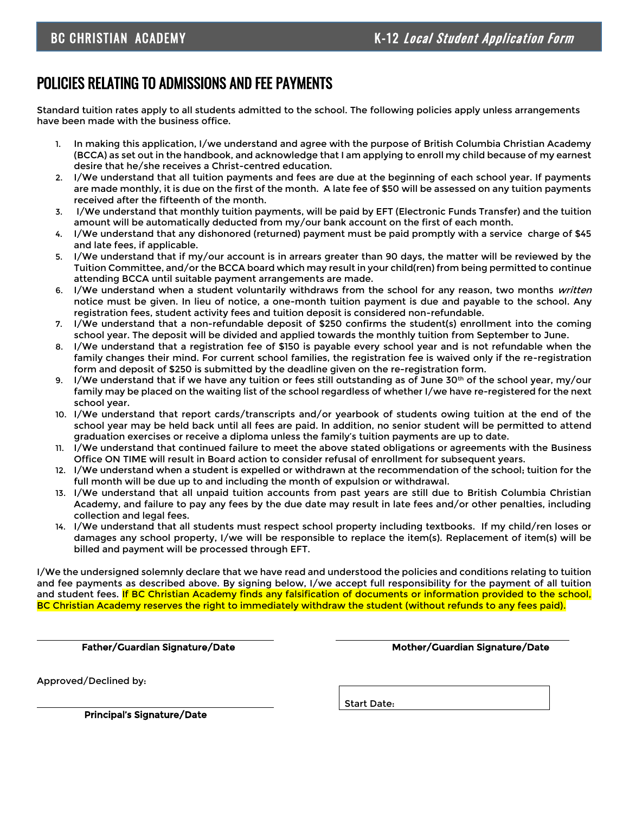# POLICIES RELATING TO ADMISSIONS AND FEE PAYMENTS

Standard tuition rates apply to all students admitted to the school. The following policies apply unless arrangements have been made with the business office.

- 1. In making this application, I/we understand and agree with the purpose of British Columbia Christian Academy (BCCA) as set out in the handbook, and acknowledge that I am applying to enroll my child because of my earnest desire that he/she receives a Christ-centred education.
- 2. I/We understand that all tuition payments and fees are due at the beginning of each school year. If payments are made monthly, it is due on the first of the month. A late fee of \$50 will be assessed on any tuition payments received after the fifteenth of the month.
- 3. I/We understand that monthly tuition payments, will be paid by EFT (Electronic Funds Transfer) and the tuition amount will be automatically deducted from my/our bank account on the first of each month.
- 4. I/We understand that any dishonored (returned) payment must be paid promptly with a service charge of \$45 and late fees, if applicable.
- 5. I/We understand that if my/our account is in arrears greater than 90 days, the matter will be reviewed by the Tuition Committee, and/or the BCCA board which may result in your child(ren) from being permitted to continue attending BCCA until suitable payment arrangements are made.
- 6. I/We understand when a student voluntarily withdraws from the school for any reason, two months written notice must be given. In lieu of notice, a one-month tuition payment is due and payable to the school. Any registration fees, student activity fees and tuition deposit is considered non-refundable.
- 7. I/We understand that a non-refundable deposit of \$250 confirms the student(s) enrollment into the coming school year. The deposit will be divided and applied towards the monthly tuition from September to June.
- 8. I/We understand that a registration fee of \$150 is payable every school year and is not refundable when the family changes their mind. For current school families, the registration fee is waived only if the re-registration form and deposit of \$250 is submitted by the deadline given on the re-registration form.
- 9. I/We understand that if we have any tuition or fees still outstanding as of June 30<sup>th</sup> of the school year, my/our family may be placed on the waiting list of the school regardless of whether I/we have re-registered for the next school year.
- 10. I/We understand that report cards/transcripts and/or yearbook of students owing tuition at the end of the school year may be held back until all fees are paid. In addition, no senior student will be permitted to attend graduation exercises or receive a diploma unless the family's tuition payments are up to date.
- 11. I/We understand that continued failure to meet the above stated obligations or agreements with the Business Office ON TIME will result in Board action to consider refusal of enrollment for subsequent years.
- 12. I/We understand when a student is expelled or withdrawn at the recommendation of the school; tuition for the full month will be due up to and including the month of expulsion or withdrawal.
- 13. I/We understand that all unpaid tuition accounts from past years are still due to British Columbia Christian Academy, and failure to pay any fees by the due date may result in late fees and/or other penalties, including collection and legal fees.
- 14. I/We understand that all students must respect school property including textbooks. If my child/ren loses or damages any school property, I/we will be responsible to replace the item(s). Replacement of item(s) will be billed and payment will be processed through EFT.

I/We the undersigned solemnly declare that we have read and understood the policies and conditions relating to tuition and fee payments as described above. By signing below, I/we accept full responsibility for the payment of all tuition and student fees. If BC Christian Academy finds any falsification of documents or information provided to the school, BC Christian Academy reserves the right to immediately withdraw the student (without refunds to any fees paid).

Approved/Declined by:

Father/Guardian Signature/Date Mother/Guardian Signature/Date

Start Date:

Principal's Signature/Date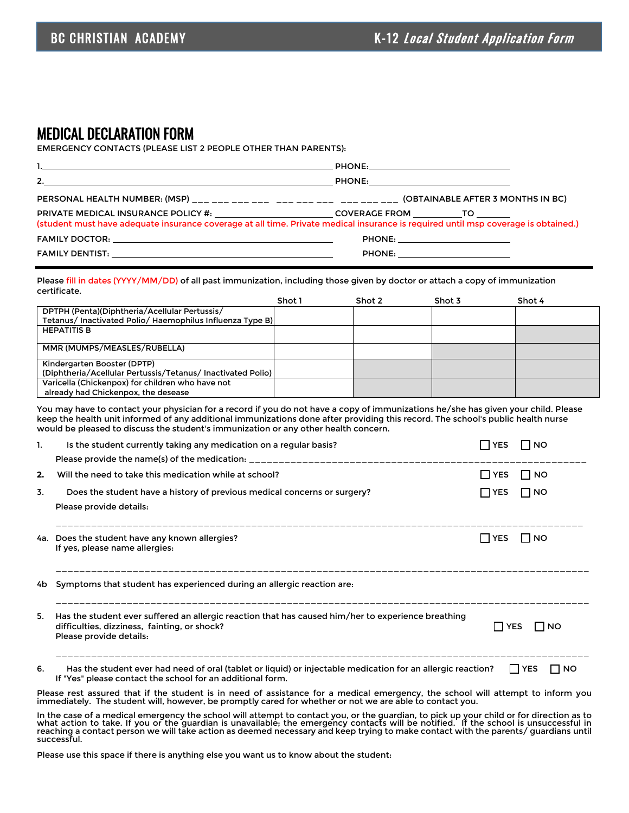#### MEDICAL DECLARATION FORM

EMERGENCY CONTACTS (PLEASE LIST 2 PEOPLE OTHER THAN PARENTS):

| $\sim$ 2.                                                                                                                                                                                                                                 |                                   |
|-------------------------------------------------------------------------------------------------------------------------------------------------------------------------------------------------------------------------------------------|-----------------------------------|
|                                                                                                                                                                                                                                           |                                   |
| PRIVATE MEDICAL INSURANCE POLICY #: _________________________COVERAGE FROM ____________TO _________<br>(student must have adequate insurance coverage at all time. Private medical insurance is required until msp coverage is obtained.) |                                   |
|                                                                                                                                                                                                                                           | PHONE: __________________________ |
|                                                                                                                                                                                                                                           |                                   |

Please fill in dates (YYYY/MM/DD) of all past immunization, including those given by doctor or attach a copy of immunization certificate.

|                                                             | Shot 1 | Shot 2 | Shot 3 | Shot 4 |
|-------------------------------------------------------------|--------|--------|--------|--------|
| DPTPH (Penta)(Diphtheria/Acellular Pertussis/               |        |        |        |        |
| Tetanus/ Inactivated Polio/ Haemophilus Influenza Type B)   |        |        |        |        |
| <b>HEPATITIS B</b>                                          |        |        |        |        |
|                                                             |        |        |        |        |
| MMR (MUMPS/MEASLES/RUBELLA)                                 |        |        |        |        |
|                                                             |        |        |        |        |
| Kindergarten Booster (DPTP)                                 |        |        |        |        |
| (Diphtheria/Acellular Pertussis/Tetanus/ Inactivated Polio) |        |        |        |        |
| Varicella (Chickenpox) for children who have not            |        |        |        |        |
| already had Chickenpox, the desease                         |        |        |        |        |

You may have to contact your physician for a record if you do not have a copy of immunizations he/she has given your child. Please keep the health unit informed of any additional immunizations done after providing this record. The school's public health nurse would be pleased to discuss the student's immunization or any other health concern.

| 1. | Is the student currently taking any medication on a regular basis?                                                                                                            | <b>I</b> YES | <b>NO</b>        |
|----|-------------------------------------------------------------------------------------------------------------------------------------------------------------------------------|--------------|------------------|
|    |                                                                                                                                                                               |              |                  |
| 2. | Will the need to take this medication while at school?                                                                                                                        | I IYES       | I Ino            |
| 3. | Does the student have a history of previous medical concerns or surgery?                                                                                                      | ∏ YES        | ⊟NO              |
|    | Please provide details:                                                                                                                                                       |              |                  |
|    | 4a. Does the student have any known allergies?<br>If yes, please name allergies:                                                                                              | I IYES       | I INO            |
|    | 4b Symptoms that student has experienced during an allergic reaction are.                                                                                                     |              |                  |
| 5. | Has the student ever suffered an allergic reaction that has caused him/her to experience breathing<br>difficulties, dizziness, fainting, or shock?<br>Please provide details: | I I YES      | I INO            |
| 6. | Has the student ever had need of oral (tablet or liquid) or injectable medication for an allergic reaction?<br>If "Yes" please contact the school for an additional form.     |              | I I YES<br>I INO |

Please rest assured that if the student is in need of assistance for a medical emergency, the school will attempt to inform you immediately. The student will, however, be promptly cared for whether or not we are able to contact you.

In the case of a medical emergency the school will attempt to contact you, or the guardian, to pick up your child or for direction as to<br>what action to take. If you or the guardian is unavailable; the emergency contacts wi reaching a contact person we will take action as deemed necessary and keep trying to make contact with the parents/ guardians until successful.

Please use this space if there is anything else you want us to know about the student: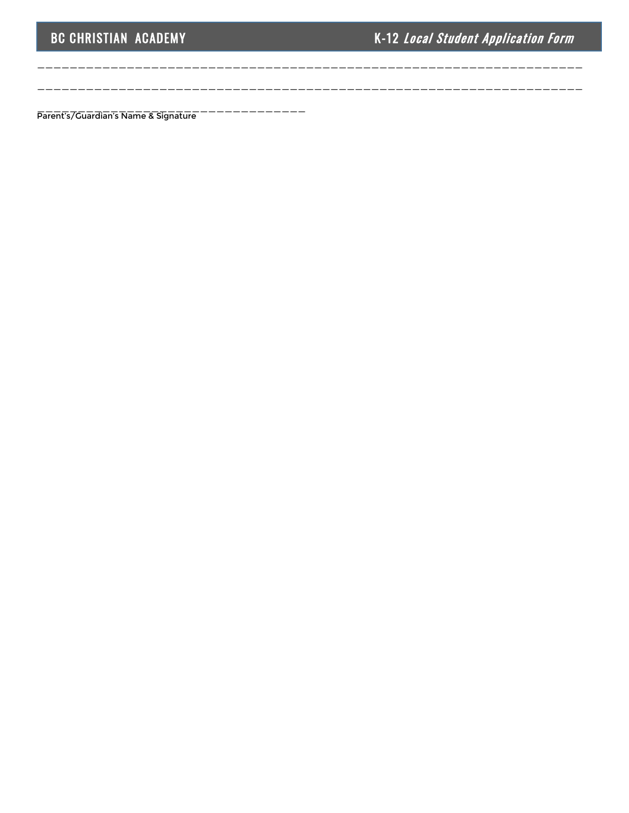\_\_\_\_\_\_\_\_\_\_\_\_\_\_\_\_\_\_\_\_\_\_\_\_\_\_\_\_\_\_\_\_\_\_\_\_\_\_\_\_\_\_\_\_\_\_\_\_\_\_\_\_\_\_\_\_\_\_\_\_\_\_\_\_\_\_\_

\_\_\_\_\_\_\_\_\_\_\_\_\_\_\_\_\_\_\_\_\_\_\_\_\_\_\_\_\_\_\_\_\_\_\_\_\_\_\_\_\_\_\_\_\_\_\_\_\_\_\_\_\_\_\_\_\_\_\_\_\_\_\_\_\_\_\_

Parent's/Guardian's Name & Signature<sup>--------------</sup>